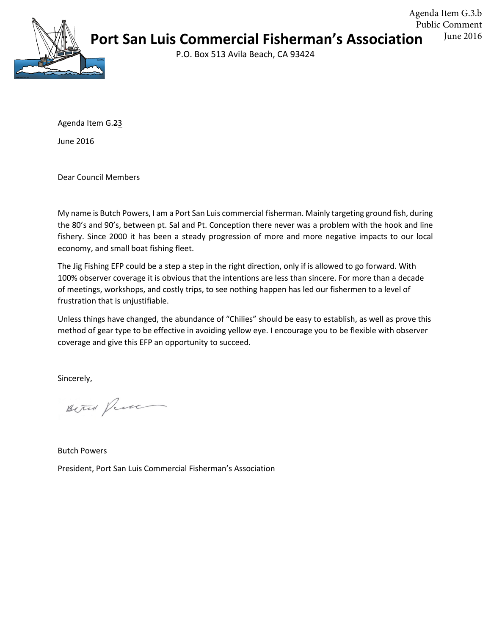

Agenda Item G.23 June 2016

Dear Council Members

My name is Butch Powers, I am a Port San Luis commercial fisherman. Mainly targeting ground fish, during the 80's and 90's, between pt. Sal and Pt. Conception there never was a problem with the hook and line fishery. Since 2000 it has been a steady progression of more and more negative impacts to our local economy, and small boat fishing fleet.

The Jig Fishing EFP could be a step a step in the right direction, only if is allowed to go forward. With 100% observer coverage it is obvious that the intentions are less than sincere. For more than a decade of meetings, workshops, and costly trips, to see nothing happen has led our fishermen to a level of frustration that is unjustifiable.

Unless things have changed, the abundance of "Chilies" should be easy to establish, as well as prove this method of gear type to be effective in avoiding yellow eye. I encourage you to be flexible with observer coverage and give this EFP an opportunity to succeed.

Sincerely,

Better Prece

Butch Powers President, Port San Luis Commercial Fisherman's Association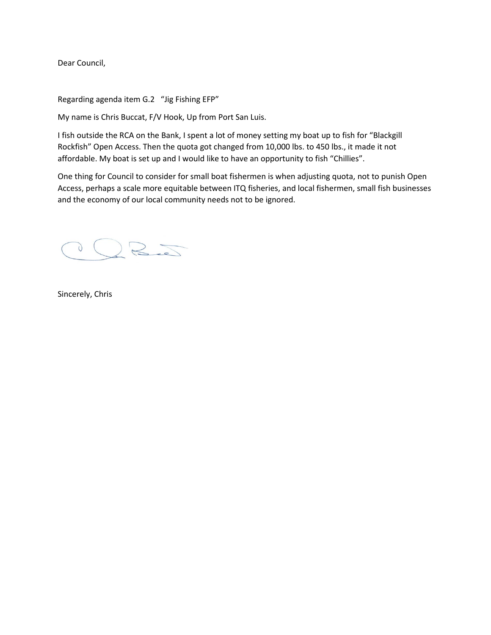Dear Council,

Regarding agenda item G.2 "Jig Fishing EFP"

My name is Chris Buccat, F/V Hook, Up from Port San Luis.

I fish outside the RCA on the Bank, I spent a lot of money setting my boat up to fish for "Blackgill Rockfish" Open Access. Then the quota got changed from 10,000 lbs. to 450 lbs., it made it not affordable. My boat is set up and I would like to have an opportunity to fish "Chillies".

One thing for Council to consider for small boat fishermen is when adjusting quota, not to punish Open Access, perhaps a scale more equitable between ITQ fisheries, and local fishermen, small fish businesses and the economy of our local community needs not to be ignored.

O CRET

Sincerely, Chris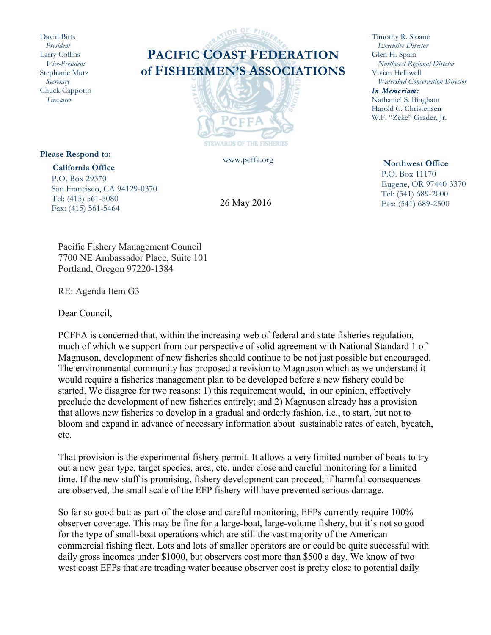David Bitts  *President* Larry Collins  *Vice-President* Stephanie Mutz  *Secretary* Chuck Cappotto  *Treasurer*

## **PACIFIC COAST FEDERATION of FISHERMEN'S ASSOCIATIONS**

10N OF FISH



www.pcffa.org

**California Office**

**Please Respond to:**

P.O. Box 29370 San Francisco, CA 94129-0370 Tel: (415) 561-5080 Fax: (415) 561-5464

26 May 2016

Timothy R. Sloane  *Executive Director* Glen H. Spain  *Northwest Regional Director* Vivian Helliwell  *Watershed Conservation Director In Memoriam:*  Nathaniel S. Bingham Harold C. Christensen

W.F. "Zeke" Grader, Jr.

 **Northwest Office** P.O. Box 11170 Eugene, OR 97440-3370 Tel: (541) 689-2000 Fax: (541) 689-2500

Pacific Fishery Management Council 7700 NE Ambassador Place, Suite 101 Portland, Oregon 97220-1384

RE: Agenda Item G3

Dear Council,

PCFFA is concerned that, within the increasing web of federal and state fisheries regulation, much of which we support from our perspective of solid agreement with National Standard 1 of Magnuson, development of new fisheries should continue to be not just possible but encouraged. The environmental community has proposed a revision to Magnuson which as we understand it would require a fisheries management plan to be developed before a new fishery could be started. We disagree for two reasons: 1) this requirement would, in our opinion, effectively preclude the development of new fisheries entirely; and 2) Magnuson already has a provision that allows new fisheries to develop in a gradual and orderly fashion, i.e., to start, but not to bloom and expand in advance of necessary information about sustainable rates of catch, bycatch, etc.

That provision is the experimental fishery permit. It allows a very limited number of boats to try out a new gear type, target species, area, etc. under close and careful monitoring for a limited time. If the new stuff is promising, fishery development can proceed; if harmful consequences are observed, the small scale of the EFP fishery will have prevented serious damage.

So far so good but: as part of the close and careful monitoring, EFPs currently require 100% observer coverage. This may be fine for a large-boat, large-volume fishery, but it's not so good for the type of small-boat operations which are still the vast majority of the American commercial fishing fleet. Lots and lots of smaller operators are or could be quite successful with daily gross incomes under \$1000, but observers cost more than \$500 a day. We know of two west coast EFPs that are treading water because observer cost is pretty close to potential daily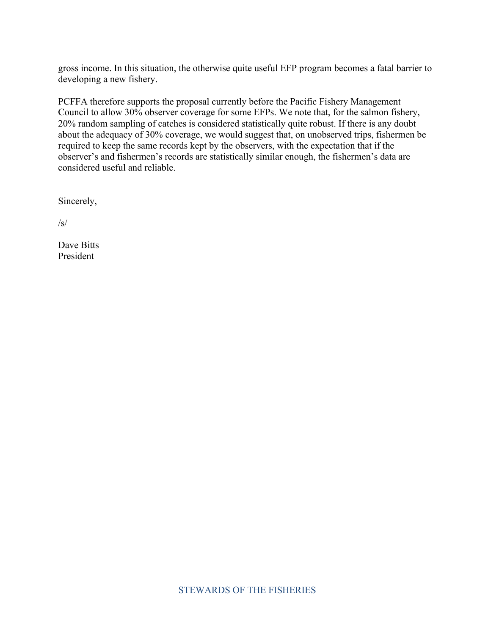gross income. In this situation, the otherwise quite useful EFP program becomes a fatal barrier to developing a new fishery.

PCFFA therefore supports the proposal currently before the Pacific Fishery Management Council to allow 30% observer coverage for some EFPs. We note that, for the salmon fishery, 20% random sampling of catches is considered statistically quite robust. If there is any doubt about the adequacy of 30% coverage, we would suggest that, on unobserved trips, fishermen be required to keep the same records kept by the observers, with the expectation that if the observer's and fishermen's records are statistically similar enough, the fishermen's data are considered useful and reliable.

Sincerely,

 $\sqrt{s}$ 

Dave Bitts President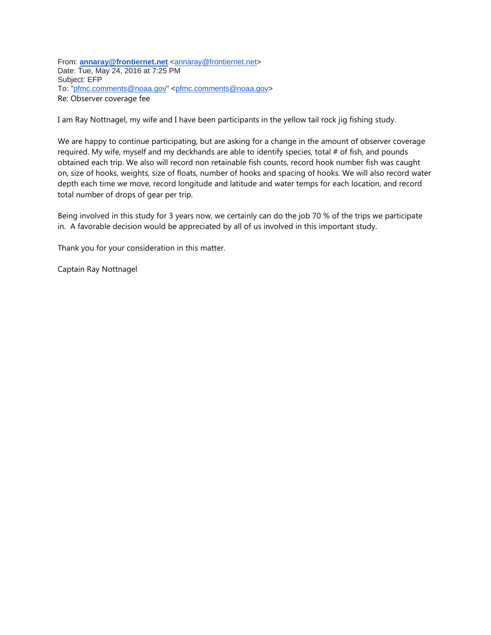From: **[annaray@frontiernet.net](mailto:annaray@frontiernet.net)** [<annaray@frontiernet.net>](mailto:annaray@frontiernet.net) Date: Tue, May 24, 2016 at 7:25 PM Subject: EFP To: ["pfmc.comments@noaa.gov"](mailto:pfmc.comments@noaa.gov) [<pfmc.comments@noaa.gov>](mailto:pfmc.comments@noaa.gov) Re: Observer coverage fee

I am Ray Nottnagel, my wife and I have been participants in the yellow tail rock jig fishing study.

We are happy to continue participating, but are asking for a change in the amount of observer coverage required. My wife, myself and my deckhands are able to identify species, total # of fish, and pounds obtained each trip. We also will record non retainable fish counts, record hook number fish was caught on, size of hooks, weights, size of floats, number of hooks and spacing of hooks. We will also record water depth each time we move, record longitude and latitude and water temps for each location, and record total number of drops of gear per trip.

Being involved in this study for 3 years now, we certainly can do the job 70 % of the trips we participate in. A favorable decision would be appreciated by all of us involved in this important study.

Thank you for your consideration in this matter.

Captain Ray Nottnagel